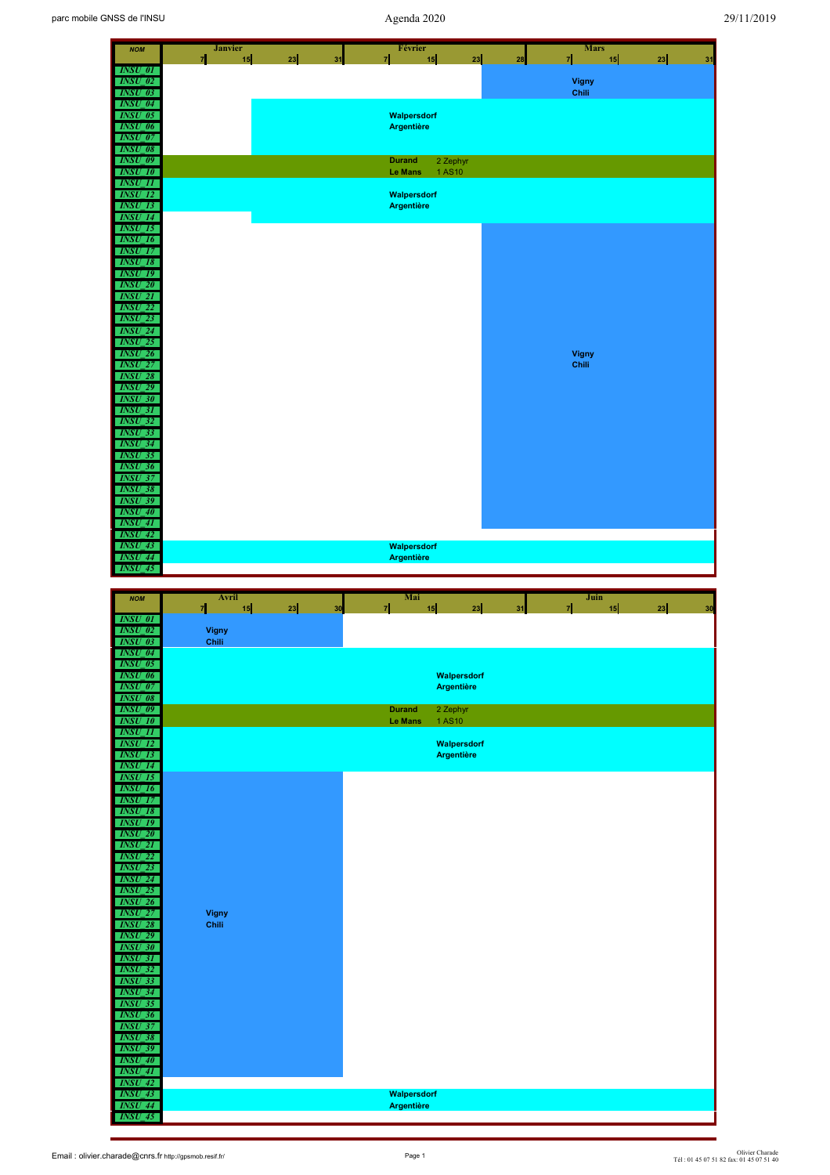| <b>NOM</b>                       | <b>Janvier</b><br>$\overline{z}$<br>23<br>15<br>31 | Février<br>15<br>23<br>$\mathbf{z}$                  | <b>Mars</b><br>케<br>28 | 15<br>23<br>31 |
|----------------------------------|----------------------------------------------------|------------------------------------------------------|------------------------|----------------|
| <b>INSU 01</b><br><b>INSU 02</b> |                                                    |                                                      |                        |                |
| $INSU_03$                        |                                                    |                                                      | <b>Vigny</b><br>Chili  |                |
| <b>INSU 04</b><br>$INSU_05$      |                                                    | Walpersdorf                                          |                        |                |
| <b>INSU_06</b><br><b>INSU 07</b> |                                                    | <b>Argentière</b>                                    |                        |                |
| $INSU_08$<br><b>INSU 09</b>      |                                                    |                                                      |                        |                |
| $INSU_10$                        |                                                    | <b>Durand</b><br>2 Zephyr<br><b>Le Mans</b><br>1AS10 |                        |                |
| <b>INSU 11</b><br><b>INSU 12</b> |                                                    | Walpersdorf                                          |                        |                |
| $INSU_13$<br><b>INSU 14</b>      |                                                    | <b>Argentière</b>                                    |                        |                |
| <b>INSU 15</b>                   |                                                    |                                                      |                        |                |
| <b>INSU_16</b><br><b>INSU 17</b> |                                                    |                                                      |                        |                |
| $INSU_18$<br><b>INSU 19</b>      |                                                    |                                                      |                        |                |
| <b>INSU 20</b><br>$INSU_21$      |                                                    |                                                      |                        |                |
| <b>INSU 22</b>                   |                                                    |                                                      |                        |                |
| $INSU_23$<br><b>INSU 24</b>      |                                                    |                                                      |                        |                |
| <b>INSU_25</b><br><b>INSU 26</b> |                                                    |                                                      | <b>Vigny</b>           |                |
| <b>INSU_27</b><br><b>INSU 28</b> |                                                    |                                                      | Chili                  |                |
| <b>INSU_29</b>                   |                                                    |                                                      |                        |                |
| <b>INSU 30</b><br><b>INSU_31</b> |                                                    |                                                      |                        |                |
| <b>INSU_32</b><br><b>INSU 33</b> |                                                    |                                                      |                        |                |
| <b>INSU 34</b><br><b>INSU 35</b> |                                                    |                                                      |                        |                |
| <b>INSU 36</b>                   |                                                    |                                                      |                        |                |
| <b>INSU 37</b><br><b>INSU 38</b> |                                                    |                                                      |                        |                |
| <b>INSU_39</b><br><b>INSU 40</b> |                                                    |                                                      |                        |                |
| <b>INSU_41</b><br><b>INSU 42</b> |                                                    |                                                      |                        |                |
| <b>INSU 43</b>                   |                                                    | Walpersdorf                                          |                        |                |
| $INSU_44$<br><b>INSU 45</b>      |                                                    | <b>Argentière</b>                                    |                        |                |
|                                  |                                                    |                                                      |                        |                |
|                                  |                                                    |                                                      |                        |                |
| <b>NOM</b><br><b>INSU 01</b>     | Avril<br>$\overline{7}$<br>15<br>23<br>30          | Mai<br>15<br>23<br>카                                 | Juin<br>케<br>31        | 15<br>23<br>30 |
| <b>INSU_02</b>                   | <b>Vigny</b>                                       |                                                      |                        |                |
| $INSU_03$<br>$INSU_04$           | Chili                                              |                                                      |                        |                |
| <b>INSU 05</b><br>$INSU_06$      |                                                    | Walpersdorf                                          |                        |                |
| $INSU_0$<br><b>INSU 08</b>       |                                                    | <b>Argentière</b>                                    |                        |                |
| <b>INSU_09</b>                   |                                                    | <b>Durand</b><br>2 Zephyr                            |                        |                |
| <b>INSU 10</b><br><b>INSU 11</b> |                                                    | 1AS10<br>Le Mans                                     |                        |                |
| <b>INSU_12</b><br><b>INSU 13</b> |                                                    | Walpersdorf<br><b>Argentière</b>                     |                        |                |
| $INSU_14$<br><b>INSU 15</b>      |                                                    |                                                      |                        |                |
| <b>INSU 16</b>                   |                                                    |                                                      |                        |                |
| <b>INSU_17</b><br><b>INSU 18</b> |                                                    |                                                      |                        |                |
| <b>INSU 19</b><br>$INSU_20$      |                                                    |                                                      |                        |                |
| <b>INSU 21</b><br>$INSU_22$      |                                                    |                                                      |                        |                |
| <b>INSU 23</b>                   |                                                    |                                                      |                        |                |
| $INSU_24$<br>$INSU_25$           |                                                    |                                                      |                        |                |
| <b>INSU 26</b><br><b>INSU_27</b> | <b>Vigny</b>                                       |                                                      |                        |                |
| <b>INSU 28</b><br><b>INSU 29</b> | Chili                                              |                                                      |                        |                |
| $INSU_30$                        |                                                    |                                                      |                        |                |
| <b>INSU 31</b><br>$INSU_32$      |                                                    |                                                      |                        |                |
| <b>INSU_33</b><br><b>INSU 34</b> |                                                    |                                                      |                        |                |
| <b>INSU_35</b><br><b>INSU_36</b> |                                                    |                                                      |                        |                |
| <b>INSU 37</b><br><b>INSU 38</b> |                                                    |                                                      |                        |                |
| <b>INSU_39</b>                   |                                                    |                                                      |                        |                |
| $INSU_40$<br>$INSU_41$           |                                                    |                                                      |                        |                |
| <b>INSU 42</b><br>$INSU_43$      |                                                    | Walpersdorf                                          |                        |                |
| <b>INSU_44</b><br><b>INSU_45</b> |                                                    | <b>Argentière</b>                                    |                        |                |